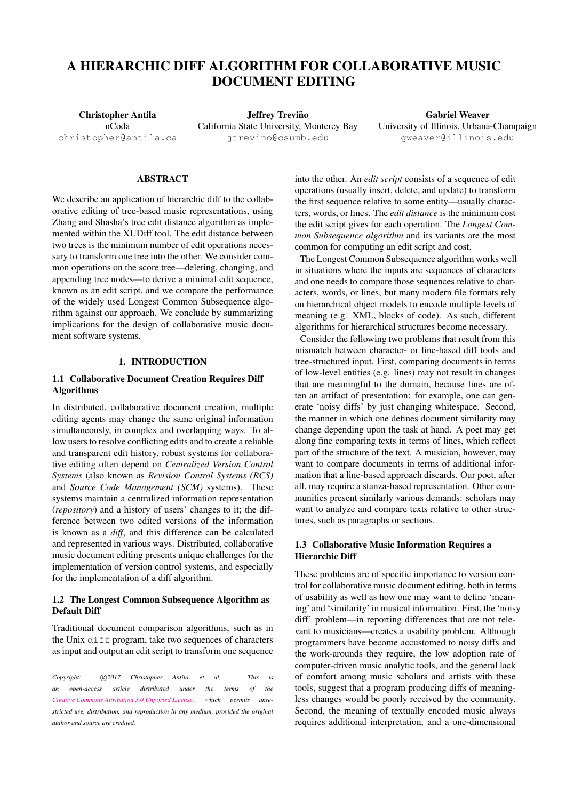# A HIERARCHIC DIFF ALGORITHM FOR COLLABORATIVE MUSIC DOCUMENT EDITING

Christopher Antila nCoda [christopher@antila.ca](mailto:christopher@antila.ca)

Jeffrey Treviño California State University, Monterey Bay [jtrevino@csumb.edu](mailto:jtrevino@csumb.edu)

Gabriel Weaver University of Illinois, Urbana-Champaign [gweaver@illinois.edu](mailto:gweaver@illinois.edu)

#### ABSTRACT

We describe an application of hierarchic diff to the collaborative editing of tree-based music representations, using Zhang and Shasha's tree edit distance algorithm as implemented within the XUDiff tool. The edit distance between two trees is the minimum number of edit operations necessary to transform one tree into the other. We consider common operations on the score tree—deleting, changing, and appending tree nodes—to derive a minimal edit sequence, known as an edit script, and we compare the performance of the widely used Longest Common Subsequence algorithm against our approach. We conclude by summarizing implications for the design of collaborative music document software systems.

## 1. INTRODUCTION

## 1.1 Collaborative Document Creation Requires Diff Algorithms

In distributed, collaborative document creation, multiple editing agents may change the same original information simultaneously, in complex and overlapping ways. To allow users to resolve conflicting edits and to create a reliable and transparent edit history, robust systems for collaborative editing often depend on *Centralized Version Control Systems* (also known as *Revision Control Systems (RCS)* and *Source Code Management (SCM)* systems). These systems maintain a centralized information representation (*repository*) and a history of users' changes to it; the difference between two edited versions of the information is known as a *diff*, and this difference can be calculated and represented in various ways. Distributed, collaborative music document editing presents unique challenges for the implementation of version control systems, and especially for the implementation of a diff algorithm.

# 1.2 The Longest Common Subsequence Algorithm as Default Diff

Traditional document comparison algorithms, such as in the Unix diff program, take two sequences of characters as input and output an edit script to transform one sequence

Copyright:  $\bigcirc$ 2017 Christopher Antila et al. This is *an open-access article distributed under the terms of the [Creative Commons Attribution 3.0 Unported License,](http://creativecommons.org/licenses/by/3.0/) which permits unrestricted use, distribution, and reproduction in any medium, provided the original author and source are credited.*

into the other. An *edit script* consists of a sequence of edit operations (usually insert, delete, and update) to transform the first sequence relative to some entity—usually characters, words, or lines. The *edit distance* is the minimum cost the edit script gives for each operation. The *Longest Common Subsequence algorithm* and its variants are the most common for computing an edit script and cost.

The Longest Common Subsequence algorithm works well in situations where the inputs are sequences of characters and one needs to compare those sequences relative to characters, words, or lines, but many modern file formats rely on hierarchical object models to encode multiple levels of meaning (e.g. XML, blocks of code). As such, different algorithms for hierarchical structures become necessary.

Consider the following two problems that result from this mismatch between character- or line-based diff tools and tree-structured input. First, comparing documents in terms of low-level entities (e.g. lines) may not result in changes that are meaningful to the domain, because lines are often an artifact of presentation: for example, one can generate 'noisy diffs' by just changing whitespace. Second, the manner in which one defines document similarity may change depending upon the task at hand. A poet may get along fine comparing texts in terms of lines, which reflect part of the structure of the text. A musician, however, may want to compare documents in terms of additional information that a line-based approach discards. Our poet, after all, may require a stanza-based representation. Other communities present similarly various demands: scholars may want to analyze and compare texts relative to other structures, such as paragraphs or sections.

# 1.3 Collaborative Music Information Requires a Hierarchic Diff

These problems are of specific importance to version control for collaborative music document editing, both in terms of usability as well as how one may want to define 'meaning' and 'similarity' in musical information. First, the 'noisy diff' problem—in reporting differences that are not relevant to musicians—creates a usability problem. Although programmers have become accustomed to noisy diffs and the work-arounds they require, the low adoption rate of computer-driven music analytic tools, and the general lack of comfort among music scholars and artists with these tools, suggest that a program producing diffs of meaningless changes would be poorly received by the community. Second, the meaning of textually encoded music always requires additional interpretation, and a one-dimensional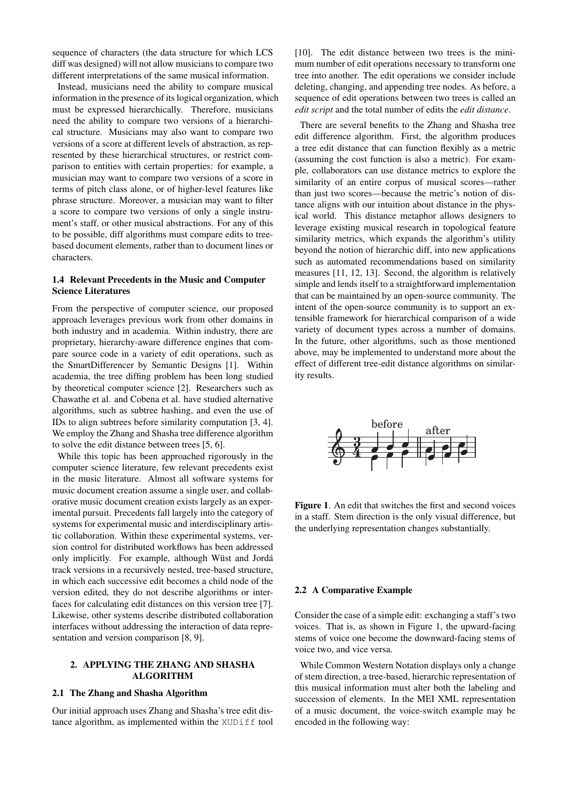sequence of characters (the data structure for which LCS diff was designed) will not allow musicians to compare two different interpretations of the same musical information.

Instead, musicians need the ability to compare musical information in the presence of its logical organization, which must be expressed hierarchically. Therefore, musicians need the ability to compare two versions of a hierarchical structure. Musicians may also want to compare two versions of a score at different levels of abstraction, as represented by these hierarchical structures, or restrict comparison to entities with certain properties: for example, a musician may want to compare two versions of a score in terms of pitch class alone, or of higher-level features like phrase structure. Moreover, a musician may want to filter a score to compare two versions of only a single instrument's staff, or other musical abstractions. For any of this to be possible, diff algorithms must compare edits to treebased document elements, rather than to document lines or characters.

## 1.4 Relevant Precedents in the Music and Computer Science Literatures

From the perspective of computer science, our proposed approach leverages previous work from other domains in both industry and in academia. Within industry, there are proprietary, hierarchy-aware difference engines that compare source code in a variety of edit operations, such as the SmartDifferencer by Semantic Designs [\[1\]](#page-3-0). Within academia, the tree diffing problem has been long studied by theoretical computer science [\[2\]](#page-3-1). Researchers such as Chawathe et al. and Cobena et al. have studied alternative algorithms, such as subtree hashing, and even the use of IDs to align subtrees before similarity computation [\[3,](#page-3-2) [4\]](#page-3-3). We employ the Zhang and Shasha tree difference algorithm to solve the edit distance between trees [\[5,](#page-3-4) [6\]](#page-3-5).

While this topic has been approached rigorously in the computer science literature, few relevant precedents exist in the music literature. Almost all software systems for music document creation assume a single user, and collaborative music document creation exists largely as an experimental pursuit. Precedents fall largely into the category of systems for experimental music and interdisciplinary artistic collaboration. Within these experimental systems, version control for distributed workflows has been addressed only implicitly. For example, although Wüst and Jordá track versions in a recursively nested, tree-based structure, in which each successive edit becomes a child node of the version edited, they do not describe algorithms or interfaces for calculating edit distances on this version tree [\[7\]](#page-3-6). Likewise, other systems describe distributed collaboration interfaces without addressing the interaction of data representation and version comparison [\[8,](#page-3-7) [9\]](#page-3-8).

# 2. APPLYING THE ZHANG AND SHASHA ALGORITHM

#### 2.1 The Zhang and Shasha Algorithm

Our initial approach uses Zhang and Shasha's tree edit distance algorithm, as implemented within the XUDiff tool [\[10\]](#page-3-9). The edit distance between two trees is the minimum number of edit operations necessary to transform one tree into another. The edit operations we consider include deleting, changing, and appending tree nodes. As before, a sequence of edit operations between two trees is called an *edit script* and the total number of edits the *edit distance*.

There are several benefits to the Zhang and Shasha tree edit difference algorithm. First, the algorithm produces a tree edit distance that can function flexibly as a metric (assuming the cost function is also a metric). For example, collaborators can use distance metrics to explore the similarity of an entire corpus of musical scores—rather than just two scores—because the metric's notion of distance aligns with our intuition about distance in the physical world. This distance metaphor allows designers to leverage existing musical research in topological feature similarity metrics, which expands the algorithm's utility beyond the notion of hierarchic diff, into new applications such as automated recommendations based on similarity measures [\[11,](#page-3-10) [12,](#page-3-11) [13\]](#page-3-12). Second, the algorithm is relatively simple and lends itself to a straightforward implementation that can be maintained by an open-source community. The intent of the open-source community is to support an extensible framework for hierarchical comparison of a wide variety of document types across a number of domains. In the future, other algorithms, such as those mentioned above, may be implemented to understand more about the effect of different tree-edit distance algorithms on similarity results.

<span id="page-1-0"></span>

Figure 1. An edit that switches the first and second voices in a staff. Stem direction is the only visual difference, but the underlying representation changes substantially.

## 2.2 A Comparative Example

Consider the case of a simple edit: exchanging a staff's two voices. That is, as shown in Figure [1,](#page-1-0) the upward-facing stems of voice one become the downward-facing stems of voice two, and vice versa.

While Common Western Notation displays only a change of stem direction, a tree-based, hierarchic representation of this musical information must alter both the labeling and succession of elements. In the MEI XML representation of a music document, the voice-switch example may be encoded in the following way: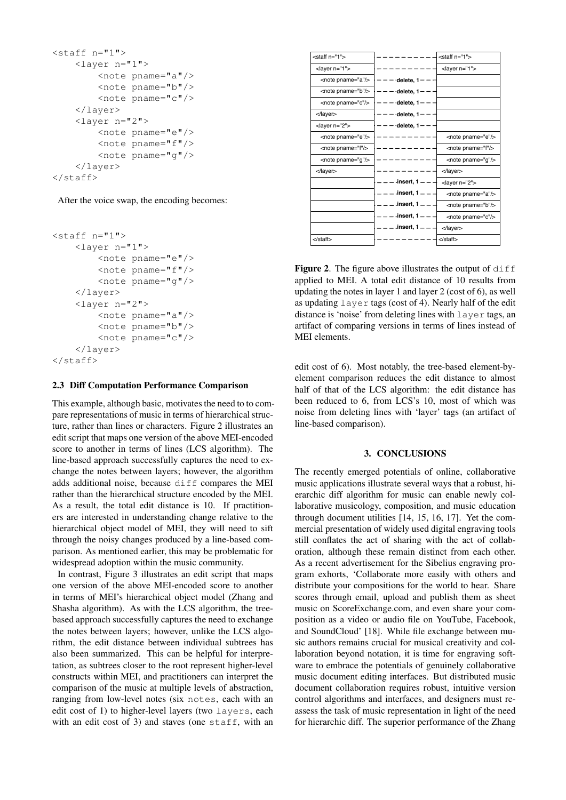```
<staff n="1">
   <layer n="1">
        <note pname="a"/>
        <note pname="b"/>
        <note pname="c"/>
    </layer>
    <layer n="2">
        <note pname="e"/>
        <note pname="f"/>
        <note pname="g"/>
    </layer>
</staff>
```
After the voice swap, the encoding becomes:

```
<staff n="1">
    <layer n="1">
        <note pname="e"/>
        <note pname="f"/>
        <note pname="g"/>
    </layer>
    <layer n="2">
        \langlenote pname="a"/>
        <note pname="b"/>
        <note pname="c"/>
    </layer>
\langle/staff>
```
## 2.3 Diff Computation Performance Comparison

This example, although basic, motivates the need to to compare representations of music in terms of hierarchical structure, rather than lines or characters. Figure [2](#page-2-0) illustrates an edit script that maps one version of the above MEI-encoded score to another in terms of lines (LCS algorithm). The line-based approach successfully captures the need to exchange the notes between layers; however, the algorithm adds additional noise, because diff compares the MEI rather than the hierarchical structure encoded by the MEI. As a result, the total edit distance is 10. If practitioners are interested in understanding change relative to the hierarchical object model of MEI, they will need to sift through the noisy changes produced by a line-based comparison. As mentioned earlier, this may be problematic for widespread adoption within the music community.

In contrast, Figure [3](#page-3-13) illustrates an edit script that maps one version of the above MEI-encoded score to another in terms of MEI's hierarchical object model (Zhang and Shasha algorithm). As with the LCS algorithm, the treebased approach successfully captures the need to exchange the notes between layers; however, unlike the LCS algorithm, the edit distance between individual subtrees has also been summarized. This can be helpful for interpretation, as subtrees closer to the root represent higher-level constructs within MEI, and practitioners can interpret the comparison of the music at multiple levels of abstraction, ranging from low-level notes (six notes, each with an edit cost of 1) to higher-level layers (two layers, each with an edit cost of 3) and staves (one staff, with an

<span id="page-2-0"></span>

| $<$ staff n="1" $>$     |                    | <staff n="1"></staff>   |
|-------------------------|--------------------|-------------------------|
| <layer n="1"></layer>   |                    | <layer n="1"></layer>   |
| <note pname="a"></note> | $-$ delete, 1 $-$  |                         |
| <note pname="b"></note> | delete, $1-$       |                         |
| <note pname="c"></note> | delete, 1-         |                         |
|                         | delete, $1-$       |                         |
| <layer n="2"></layer>   | delete, 1          |                         |
| <note pname="e"></note> |                    | <note pname="e"></note> |
| <note pname="f"></note> |                    | <note pname="f"></note> |
| <note pname="g"></note> |                    | <note pname="g"></note> |
| $\langle$ layer $>$     |                    | $\alpha$ layer          |
|                         | -insert, $1 - -$   | <layer n="2"></layer>   |
|                         | -insert, $1 - -$   | <note pname="a"></note> |
|                         | -insert, $1 - -$   | <note pname="b"></note> |
|                         | -insert, $1 - -$   | <note pname="c"></note> |
|                         | -insert, $1 = -$ . | $\alpha$ layer          |
| $\lt$ /staff $>$        |                    | $<$ /staff $>$          |

**Figure 2.** The figure above illustrates the output of  $diff$ applied to MEI. A total edit distance of 10 results from updating the notes in layer 1 and layer 2 (cost of 6), as well as updating layer tags (cost of 4). Nearly half of the edit distance is 'noise' from deleting lines with layer tags, an artifact of comparing versions in terms of lines instead of MEI elements.

edit cost of 6). Most notably, the tree-based element-byelement comparison reduces the edit distance to almost half of that of the LCS algorithm: the edit distance has been reduced to 6, from LCS's 10, most of which was noise from deleting lines with 'layer' tags (an artifact of line-based comparison).

### 3. CONCLUSIONS

The recently emerged potentials of online, collaborative music applications illustrate several ways that a robust, hierarchic diff algorithm for music can enable newly collaborative musicology, composition, and music education through document utilities [\[14,](#page-3-14) [15,](#page-3-15) [16,](#page-3-16) [17\]](#page-3-17). Yet the commercial presentation of widely used digital engraving tools still conflates the act of sharing with the act of collaboration, although these remain distinct from each other. As a recent advertisement for the Sibelius engraving program exhorts, 'Collaborate more easily with others and distribute your compositions for the world to hear. Share scores through email, upload and publish them as sheet music on ScoreExchange.com, and even share your composition as a video or audio file on YouTube, Facebook, and SoundCloud' [\[18\]](#page-3-18). While file exchange between music authors remains crucial for musical creativity and collaboration beyond notation, it is time for engraving software to embrace the potentials of genuinely collaborative music document editing interfaces. But distributed music document collaboration requires robust, intuitive version control algorithms and interfaces, and designers must reassess the task of music representation in light of the need for hierarchic diff. The superior performance of the Zhang